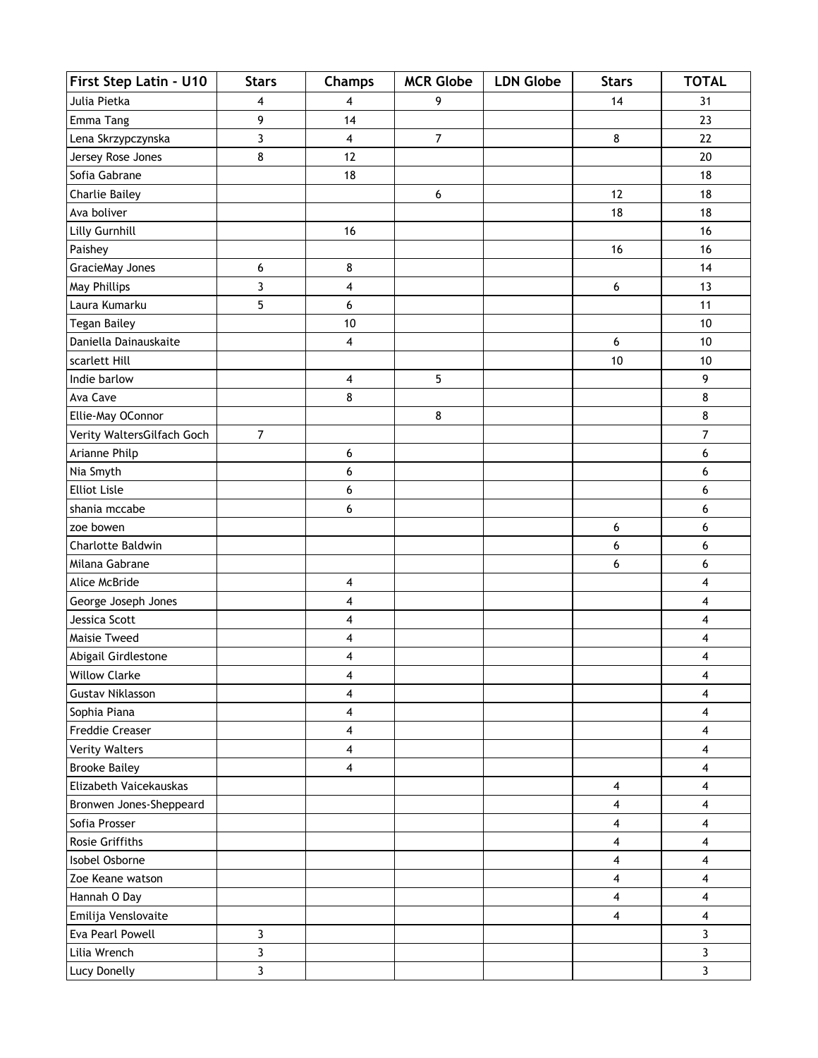| First Step Latin - U10     | <b>Stars</b>   | Champs                  | <b>MCR Globe</b>         | <b>LDN Globe</b> | <b>Stars</b> | <b>TOTAL</b> |
|----------------------------|----------------|-------------------------|--------------------------|------------------|--------------|--------------|
| Julia Pietka               | 4              | 4                       | 9                        |                  | 14           | 31           |
| Emma Tang                  | 9              | 14                      |                          |                  |              | 23           |
| Lena Skrzypczynska         | 3              | 4                       | $\overline{\mathcal{I}}$ |                  | 8            | 22           |
| Jersey Rose Jones          | 8              | 12                      |                          |                  |              | 20           |
| Sofia Gabrane              |                | 18                      |                          |                  |              | 18           |
| <b>Charlie Bailey</b>      |                |                         | 6                        |                  | 12           | 18           |
| Ava boliver                |                |                         |                          |                  | 18           | 18           |
| Lilly Gurnhill             |                | 16                      |                          |                  |              | 16           |
| Paishey                    |                |                         |                          |                  | 16           | 16           |
| GracieMay Jones            | 6              | 8                       |                          |                  |              | 14           |
| May Phillips               | 3              | 4                       |                          |                  | 6            | 13           |
| Laura Kumarku              | 5              | 6                       |                          |                  |              | 11           |
| <b>Tegan Bailey</b>        |                | 10                      |                          |                  |              | 10           |
| Daniella Dainauskaite      |                | 4                       |                          |                  | 6            | 10           |
| scarlett Hill              |                |                         |                          |                  | 10           | $10$         |
| Indie barlow               |                | 4                       | 5                        |                  |              | 9            |
| Ava Cave                   |                | 8                       |                          |                  |              | 8            |
| Ellie-May OConnor          |                |                         | 8                        |                  |              | 8            |
| Verity WaltersGilfach Goch | $\overline{7}$ |                         |                          |                  |              | 7            |
| Arianne Philp              |                | 6                       |                          |                  |              | 6            |
| Nia Smyth                  |                | 6                       |                          |                  |              | 6            |
| <b>Elliot Lisle</b>        |                | 6                       |                          |                  |              | 6            |
| shania mccabe              |                | 6                       |                          |                  |              | 6            |
| zoe bowen                  |                |                         |                          |                  | 6            | 6            |
| Charlotte Baldwin          |                |                         |                          |                  | 6            | 6            |
| Milana Gabrane             |                |                         |                          |                  | 6            | 6            |
| Alice McBride              |                | 4                       |                          |                  |              | 4            |
| George Joseph Jones        |                | 4                       |                          |                  |              | 4            |
| Jessica Scott              |                | 4                       |                          |                  |              | 4            |
| Maisie Tweed               |                | 4                       |                          |                  |              | 4            |
| Abigail Girdlestone        |                | $\overline{\mathbf{4}}$ |                          |                  |              | 4            |
| <b>Willow Clarke</b>       |                | 4                       |                          |                  |              | 4            |
| <b>Gustav Niklasson</b>    |                | 4                       |                          |                  |              | 4            |
| Sophia Piana               |                | 4                       |                          |                  |              | 4            |
| <b>Freddie Creaser</b>     |                | 4                       |                          |                  |              | 4            |
| <b>Verity Walters</b>      |                | 4                       |                          |                  |              | 4            |
| <b>Brooke Bailey</b>       |                | 4                       |                          |                  |              | 4            |
| Elizabeth Vaicekauskas     |                |                         |                          |                  | 4            | 4            |
| Bronwen Jones-Sheppeard    |                |                         |                          |                  | 4            | 4            |
| Sofia Prosser              |                |                         |                          |                  | 4            | 4            |
| Rosie Griffiths            |                |                         |                          |                  | 4            | 4            |
| Isobel Osborne             |                |                         |                          |                  | 4            | 4            |
| Zoe Keane watson           |                |                         |                          |                  | 4            | 4            |
| Hannah O Day               |                |                         |                          |                  | 4            | 4            |
| Emilija Venslovaite        |                |                         |                          |                  | 4            | 4            |
| Eva Pearl Powell           | 3              |                         |                          |                  |              | 3            |
| Lilia Wrench               | 3              |                         |                          |                  |              | 3            |
| Lucy Donelly               | 3              |                         |                          |                  |              | 3            |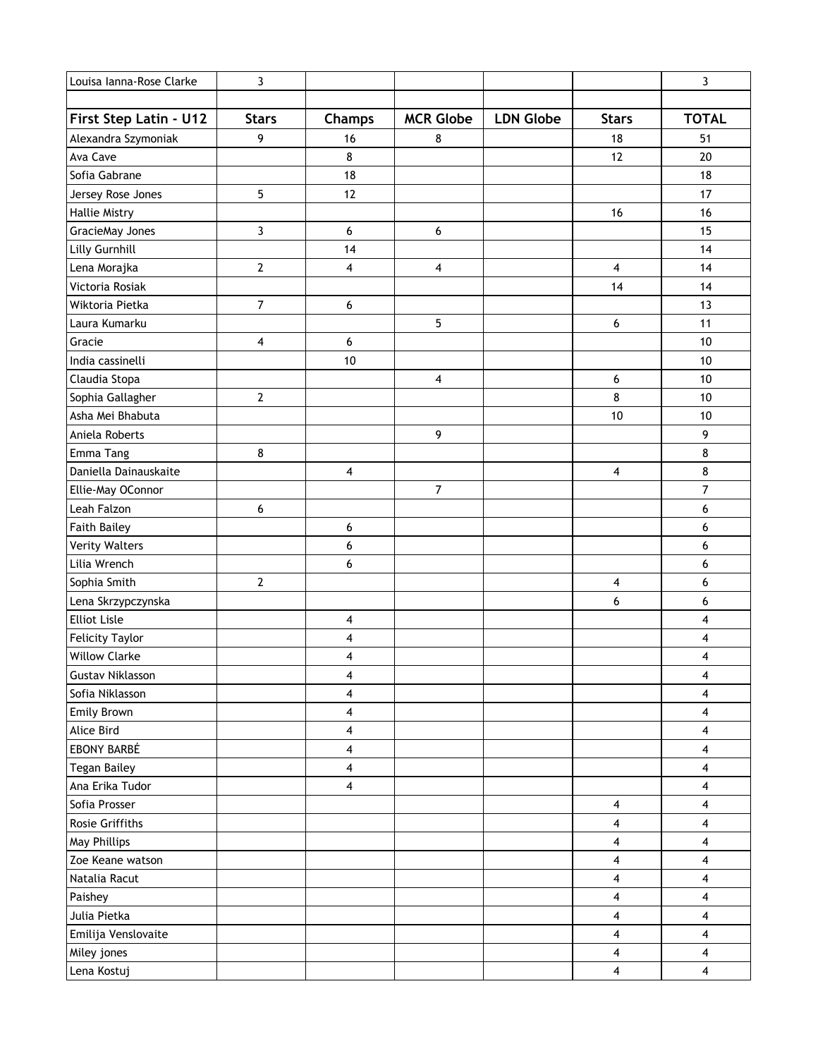| Louisa Ianna-Rose Clarke | 3                       |                         |                  |                  |                         | 3                       |
|--------------------------|-------------------------|-------------------------|------------------|------------------|-------------------------|-------------------------|
|                          |                         |                         |                  |                  |                         |                         |
| First Step Latin - U12   | <b>Stars</b>            | Champs                  | <b>MCR Globe</b> | <b>LDN Globe</b> | <b>Stars</b>            | <b>TOTAL</b>            |
| Alexandra Szymoniak      | 9                       | 16                      | 8                |                  | 18                      | 51                      |
| Ava Cave                 |                         | 8                       |                  |                  | 12                      | 20                      |
| Sofia Gabrane            |                         | 18                      |                  |                  |                         | 18                      |
| Jersey Rose Jones        | 5                       | 12                      |                  |                  |                         | 17                      |
| <b>Hallie Mistry</b>     |                         |                         |                  |                  | 16                      | 16                      |
| GracieMay Jones          | 3                       | 6                       | 6                |                  |                         | 15                      |
| Lilly Gurnhill           |                         | 14                      |                  |                  |                         | 14                      |
| Lena Morajka             | $\mathbf{2}$            | 4                       | 4                |                  | $\overline{\mathbf{4}}$ | 14                      |
| Victoria Rosiak          |                         |                         |                  |                  | 14                      | 14                      |
| Wiktoria Pietka          | $\overline{7}$          | 6                       |                  |                  |                         | 13                      |
| Laura Kumarku            |                         |                         | 5                |                  | 6                       | 11                      |
| Gracie                   | $\overline{\mathbf{4}}$ | 6                       |                  |                  |                         | 10                      |
| India cassinelli         |                         | 10                      |                  |                  |                         | 10                      |
| Claudia Stopa            |                         |                         | 4                |                  | 6                       | 10                      |
| Sophia Gallagher         | $\overline{2}$          |                         |                  |                  | 8                       | 10                      |
| Asha Mei Bhabuta         |                         |                         |                  |                  | 10                      | 10                      |
| Aniela Roberts           |                         |                         | 9                |                  |                         | 9                       |
| Emma Tang                | 8                       |                         |                  |                  |                         | 8                       |
| Daniella Dainauskaite    |                         | 4                       |                  |                  | 4                       | 8                       |
| Ellie-May OConnor        |                         |                         | 7                |                  |                         | $\overline{7}$          |
| Leah Falzon              | 6                       |                         |                  |                  |                         | 6                       |
| <b>Faith Bailey</b>      |                         | 6                       |                  |                  |                         | 6                       |
| <b>Verity Walters</b>    |                         | 6                       |                  |                  |                         | 6                       |
| Lilia Wrench             |                         | 6                       |                  |                  |                         | 6                       |
| Sophia Smith             | $\mathbf{2}$            |                         |                  |                  | 4                       | 6                       |
| Lena Skrzypczynska       |                         |                         |                  |                  | 6                       | 6                       |
| <b>Elliot Lisle</b>      |                         | 4                       |                  |                  |                         | 4                       |
| <b>Felicity Taylor</b>   |                         | 4                       |                  |                  |                         | 4                       |
| <b>Willow Clarke</b>     |                         | 4                       |                  |                  |                         | 4                       |
| <b>Gustav Niklasson</b>  |                         | 4                       |                  |                  |                         | 4                       |
| Sofia Niklasson          |                         | 4                       |                  |                  |                         | 4                       |
| Emily Brown              |                         | 4                       |                  |                  |                         | 4                       |
| Alice Bird               |                         | 4                       |                  |                  |                         | 4                       |
| EBONY BARBÉ              |                         | 4                       |                  |                  |                         | 4                       |
| <b>Tegan Bailey</b>      |                         | 4                       |                  |                  |                         | 4                       |
| Ana Erika Tudor          |                         | $\overline{\mathbf{4}}$ |                  |                  |                         | $\overline{\mathbf{4}}$ |
| Sofia Prosser            |                         |                         |                  |                  | 4                       | 4                       |
| Rosie Griffiths          |                         |                         |                  |                  | 4                       | 4                       |
| May Phillips             |                         |                         |                  |                  | 4                       | 4                       |
| Zoe Keane watson         |                         |                         |                  |                  | 4                       | 4                       |
| Natalia Racut            |                         |                         |                  |                  | 4                       | 4                       |
| Paishey                  |                         |                         |                  |                  | 4                       | 4                       |
| Julia Pietka             |                         |                         |                  |                  | 4                       | 4                       |
| Emilija Venslovaite      |                         |                         |                  |                  | 4                       | 4                       |
| Miley jones              |                         |                         |                  |                  | 4                       | 4                       |
| Lena Kostuj              |                         |                         |                  |                  | 4                       | 4                       |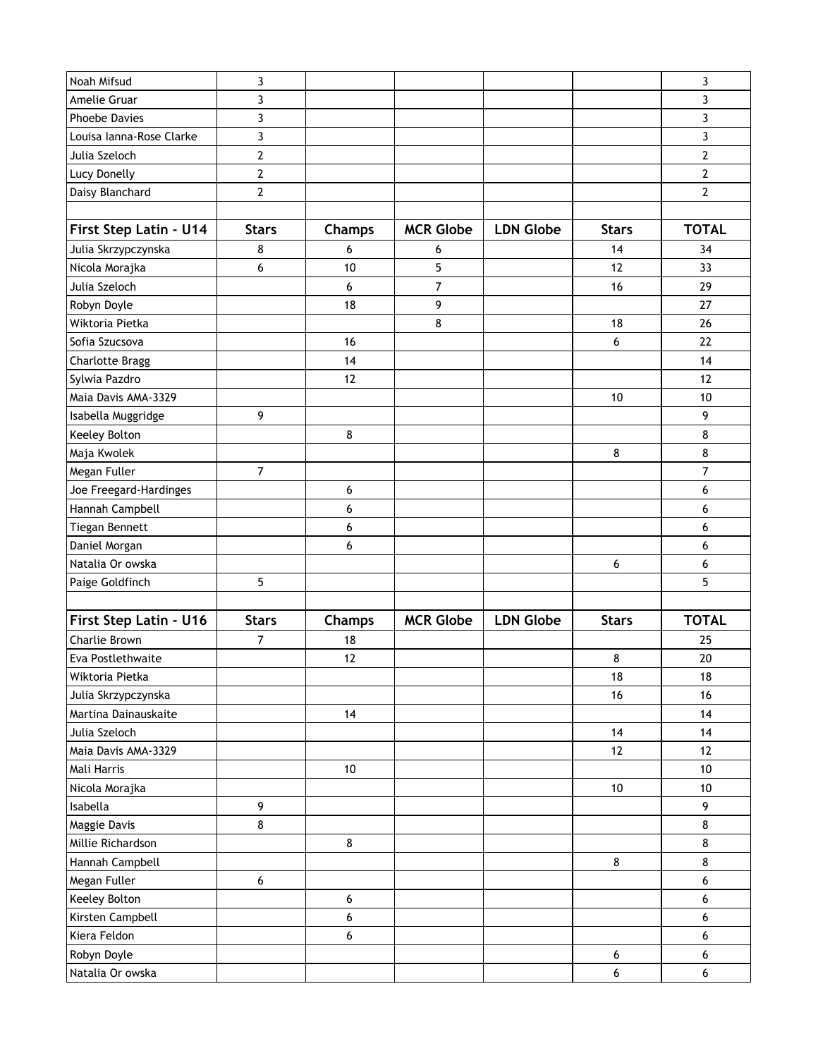| Noah Mifsud              | 3              |                  |                  |                  |              | 3              |
|--------------------------|----------------|------------------|------------------|------------------|--------------|----------------|
| Amelie Gruar             | 3              |                  |                  |                  |              | 3              |
| <b>Phoebe Davies</b>     | 3              |                  |                  |                  |              | 3              |
| Louisa Ianna-Rose Clarke | 3              |                  |                  |                  |              | 3              |
| Julia Szeloch            | $\overline{2}$ |                  |                  |                  |              | $\overline{2}$ |
| Lucy Donelly             | $\mathbf{2}$   |                  |                  |                  |              | $\mathbf{2}$   |
| Daisy Blanchard          | $\mathbf{2}$   |                  |                  |                  |              | $\overline{2}$ |
|                          |                |                  |                  |                  |              |                |
| First Step Latin - U14   | <b>Stars</b>   | Champs           | <b>MCR Globe</b> | <b>LDN Globe</b> | <b>Stars</b> | <b>TOTAL</b>   |
| Julia Skrzypczynska      | 8              | 6                | 6                |                  | 14           | 34             |
| Nicola Morajka           | 6              | 10               | 5                |                  | 12           | 33             |
| Julia Szeloch            |                | 6                | 7                |                  | 16           | 29             |
| Robyn Doyle              |                | 18               | 9                |                  |              | 27             |
| Wiktoria Pietka          |                |                  | 8                |                  | 18           | 26             |
| Sofia Szucsova           |                | 16               |                  |                  | 6            | 22             |
| <b>Charlotte Bragg</b>   |                | 14               |                  |                  |              | 14             |
| Sylwia Pazdro            |                | 12               |                  |                  |              | 12             |
| Maia Davis AMA-3329      |                |                  |                  |                  | 10           | 10             |
| Isabella Muggridge       | 9              |                  |                  |                  |              | 9              |
| Keeley Bolton            |                | 8                |                  |                  |              | 8              |
| Maja Kwolek              |                |                  |                  |                  | 8            | 8              |
| Megan Fuller             | $\overline{7}$ |                  |                  |                  |              | $\overline{7}$ |
| Joe Freegard-Hardinges   |                | 6                |                  |                  |              | 6              |
| Hannah Campbell          |                | 6                |                  |                  |              | 6              |
| Tiegan Bennett           |                | 6                |                  |                  |              | 6              |
| Daniel Morgan            |                | 6                |                  |                  |              | 6              |
| Natalia Or owska         |                |                  |                  |                  | 6            | 6              |
| Paige Goldfinch          | 5              |                  |                  |                  |              | 5              |
|                          |                |                  |                  |                  |              |                |
| First Step Latin - U16   | <b>Stars</b>   | Champs           | <b>MCR Globe</b> | <b>LDN Globe</b> | <b>Stars</b> | <b>TOTAL</b>   |
| Charlie Brown            | 7              | 18               |                  |                  |              | 25             |
| Eva Postlethwaite        |                | 12               |                  |                  | 8            | 20             |
| Wiktoria Pietka          |                |                  |                  |                  | 18           | 18             |
| Julia Skrzypczynska      |                |                  |                  |                  | 16           | 16             |
| Martina Dainauskaite     |                | 14               |                  |                  |              | 14             |
| Julia Szeloch            |                |                  |                  |                  | 14           | 14             |
| Maia Davis AMA-3329      |                |                  |                  |                  | 12           | 12             |
| Mali Harris              |                | $10\,$           |                  |                  |              | 10             |
| Nicola Morajka           |                |                  |                  |                  | $10$         | 10             |
| Isabella                 | 9              |                  |                  |                  |              | 9              |
| Maggie Davis             | 8              |                  |                  |                  |              | 8              |
| Millie Richardson        |                | $\bf 8$          |                  |                  |              | 8              |
| Hannah Campbell          |                |                  |                  |                  | 8            | 8              |
| Megan Fuller             | 6              |                  |                  |                  |              | 6              |
| Keeley Bolton            |                | $\boldsymbol{6}$ |                  |                  |              | 6              |
| Kirsten Campbell         |                | 6                |                  |                  |              | 6              |
| Kiera Feldon             |                |                  |                  |                  |              |                |
|                          |                | 6                |                  |                  |              | 6              |
| Robyn Doyle              |                |                  |                  |                  | 6            | 6              |